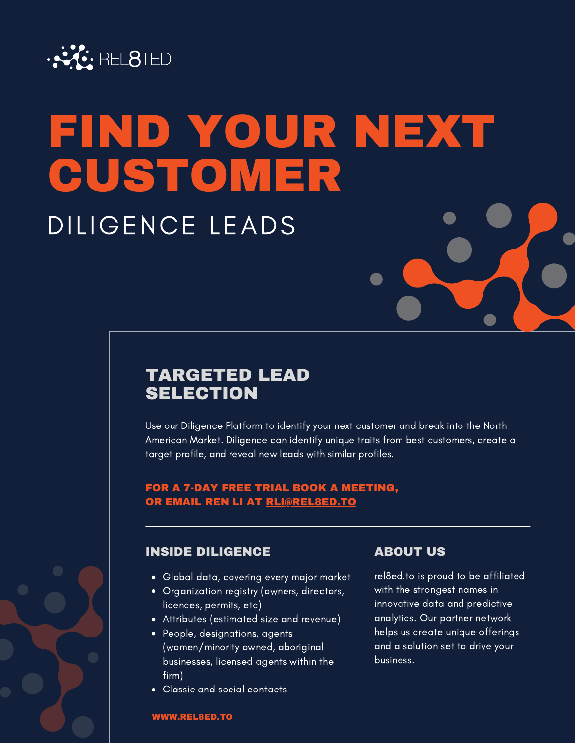

## FIND YOUR NEXT CUSTOMER DILIGENCE LEADS

## TARGETED LEAD **SELECTION**

Use our Diligence Platform to identify your next customer and break into the North American Market. Diligence can identify unique traits from best customers, create a target profile, and reveal new leads with similar profiles.

### FOR A 7-DAY FREE TRIAL BOOK A MEETING, OR EMAIL REN LI AT RLI@REL8ED.TO

## **INSIDE DILIGENCE ABOUT US**

- Global data, covering every major market
- Organization registry (owners, directors, licences, permits, etc)
- Attributes (estimated size and revenue)
- People, designations, agents (women/minority owned, aboriginal businesses, licensed agents within the firm)
- Classic and social contacts

rel8ed.to is proud to be affiliated with the strongest names in innovative data and predictive analytics. Our partner network helps us create unique offerings and a solution set to drive your business.

### WWW.REL8ED.TO